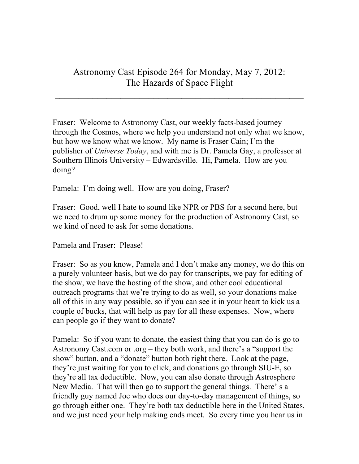## Astronomy Cast Episode 264 for Monday, May 7, 2012: The Hazards of Space Flight

 $\mathcal{L}_\text{max}$  and  $\mathcal{L}_\text{max}$  and  $\mathcal{L}_\text{max}$  and  $\mathcal{L}_\text{max}$  and  $\mathcal{L}_\text{max}$  and  $\mathcal{L}_\text{max}$ 

Fraser: Welcome to Astronomy Cast, our weekly facts-based journey through the Cosmos, where we help you understand not only what we know, but how we know what we know. My name is Fraser Cain; I'm the publisher of *Universe Today*, and with me is Dr. Pamela Gay, a professor at Southern Illinois University – Edwardsville. Hi, Pamela. How are you doing?

Pamela: I'm doing well. How are you doing, Fraser?

Fraser: Good, well I hate to sound like NPR or PBS for a second here, but we need to drum up some money for the production of Astronomy Cast, so we kind of need to ask for some donations.

Pamela and Fraser: Please!

Fraser: So as you know, Pamela and I don't make any money, we do this on a purely volunteer basis, but we do pay for transcripts, we pay for editing of the show, we have the hosting of the show, and other cool educational outreach programs that we're trying to do as well, so your donations make all of this in any way possible, so if you can see it in your heart to kick us a couple of bucks, that will help us pay for all these expenses. Now, where can people go if they want to donate?

Pamela: So if you want to donate, the easiest thing that you can do is go to Astronomy Cast.com or .org – they both work, and there's a "support the show" button, and a "donate" button both right there. Look at the page, they're just waiting for you to click, and donations go through SIU-E, so they're all tax deductible. Now, you can also donate through Astrosphere New Media. That will then go to support the general things. There' s a friendly guy named Joe who does our day-to-day management of things, so go through either one. They're both tax deductible here in the United States, and we just need your help making ends meet. So every time you hear us in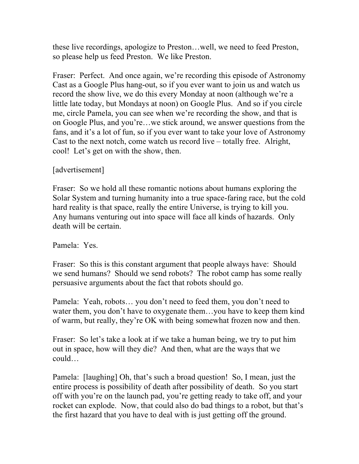these live recordings, apologize to Preston…well, we need to feed Preston, so please help us feed Preston. We like Preston.

Fraser: Perfect. And once again, we're recording this episode of Astronomy Cast as a Google Plus hang-out, so if you ever want to join us and watch us record the show live, we do this every Monday at noon (although we're a little late today, but Mondays at noon) on Google Plus. And so if you circle me, circle Pamela, you can see when we're recording the show, and that is on Google Plus, and you're…we stick around, we answer questions from the fans, and it's a lot of fun, so if you ever want to take your love of Astronomy Cast to the next notch, come watch us record live – totally free. Alright, cool! Let's get on with the show, then.

## [advertisement]

Fraser: So we hold all these romantic notions about humans exploring the Solar System and turning humanity into a true space-faring race, but the cold hard reality is that space, really the entire Universe, is trying to kill you. Any humans venturing out into space will face all kinds of hazards. Only death will be certain.

## Pamela: Yes.

Fraser: So this is this constant argument that people always have: Should we send humans? Should we send robots? The robot camp has some really persuasive arguments about the fact that robots should go.

Pamela: Yeah, robots… you don't need to feed them, you don't need to water them, you don't have to oxygenate them…you have to keep them kind of warm, but really, they're OK with being somewhat frozen now and then.

Fraser: So let's take a look at if we take a human being, we try to put him out in space, how will they die? And then, what are the ways that we could…

Pamela: [laughing] Oh, that's such a broad question! So, I mean, just the entire process is possibility of death after possibility of death. So you start off with you're on the launch pad, you're getting ready to take off, and your rocket can explode. Now, that could also do bad things to a robot, but that's the first hazard that you have to deal with is just getting off the ground.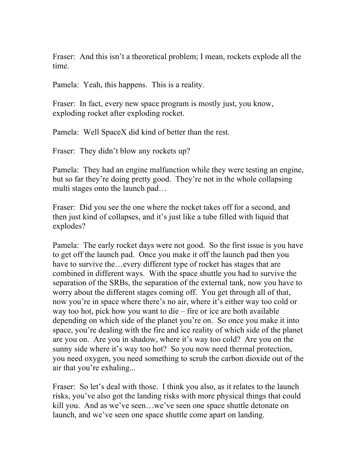Fraser: And this isn't a theoretical problem; I mean, rockets explode all the time.

Pamela: Yeah, this happens. This is a reality.

Fraser: In fact, every new space program is mostly just, you know, exploding rocket after exploding rocket.

Pamela: Well SpaceX did kind of better than the rest.

Fraser: They didn't blow any rockets up?

Pamela: They had an engine malfunction while they were testing an engine, but so far they're doing pretty good. They're not in the whole collapsing multi stages onto the launch pad…

Fraser: Did you see the one where the rocket takes off for a second, and then just kind of collapses, and it's just like a tube filled with liquid that explodes?

Pamela: The early rocket days were not good. So the first issue is you have to get off the launch pad. Once you make it off the launch pad then you have to survive the…every different type of rocket has stages that are combined in different ways. With the space shuttle you had to survive the separation of the SRBs, the separation of the external tank, now you have to worry about the different stages coming off. You get through all of that, now you're in space where there's no air, where it's either way too cold or way too hot, pick how you want to die – fire or ice are both available depending on which side of the planet you're on. So once you make it into space, you're dealing with the fire and ice reality of which side of the planet are you on. Are you in shadow, where it's way too cold? Are you on the sunny side where it's way too hot? So you now need thermal protection, you need oxygen, you need something to scrub the carbon dioxide out of the air that you're exhaling...

Fraser: So let's deal with those. I think you also, as it relates to the launch risks, you've also got the landing risks with more physical things that could kill you. And as we've seen…we've seen one space shuttle detonate on launch, and we've seen one space shuttle come apart on landing.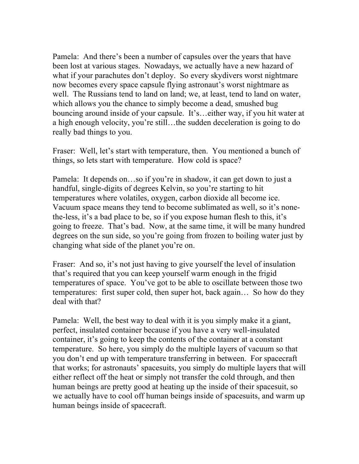Pamela: And there's been a number of capsules over the years that have been lost at various stages. Nowadays, we actually have a new hazard of what if your parachutes don't deploy. So every skydivers worst nightmare now becomes every space capsule flying astronaut's worst nightmare as well. The Russians tend to land on land; we, at least, tend to land on water, which allows you the chance to simply become a dead, smushed bug bouncing around inside of your capsule. It's…either way, if you hit water at a high enough velocity, you're still…the sudden deceleration is going to do really bad things to you.

Fraser: Well, let's start with temperature, then. You mentioned a bunch of things, so lets start with temperature. How cold is space?

Pamela: It depends on…so if you're in shadow, it can get down to just a handful, single-digits of degrees Kelvin, so you're starting to hit temperatures where volatiles, oxygen, carbon dioxide all become ice. Vacuum space means they tend to become sublimated as well, so it's nonethe-less, it's a bad place to be, so if you expose human flesh to this, it's going to freeze. That's bad. Now, at the same time, it will be many hundred degrees on the sun side, so you're going from frozen to boiling water just by changing what side of the planet you're on.

Fraser: And so, it's not just having to give yourself the level of insulation that's required that you can keep yourself warm enough in the frigid temperatures of space. You've got to be able to oscillate between those two temperatures: first super cold, then super hot, back again… So how do they deal with that?

Pamela: Well, the best way to deal with it is you simply make it a giant, perfect, insulated container because if you have a very well-insulated container, it's going to keep the contents of the container at a constant temperature. So here, you simply do the multiple layers of vacuum so that you don't end up with temperature transferring in between. For spacecraft that works; for astronauts' spacesuits, you simply do multiple layers that will either reflect off the heat or simply not transfer the cold through, and then human beings are pretty good at heating up the inside of their spacesuit, so we actually have to cool off human beings inside of spacesuits, and warm up human beings inside of spacecraft.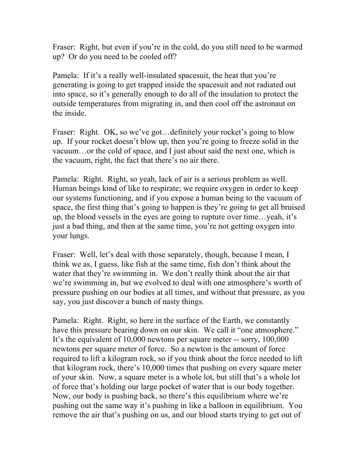Fraser: Right, but even if you're in the cold, do you still need to be warmed up? Or do you need to be cooled off?

Pamela: If it's a really well-insulated spacesuit, the heat that you're generating is going to get trapped inside the spacesuit and not radiated out into space, so it's generally enough to do all of the insulation to protect the outside temperatures from migrating in, and then cool off the astronaut on the inside.

Fraser: Right. OK, so we've got... definitely your rocket's going to blow up. If your rocket doesn't blow up, then you're going to freeze solid in the vacuum…or the cold of space, and I just about said the next one, which is the vacuum, right, the fact that there's no air there.

Pamela: Right. Right, so yeah, lack of air is a serious problem as well. Human beings kind of like to respirate; we require oxygen in order to keep our systems functioning, and if you expose a human being to the vacuum of space, the first thing that's going to happen is they're going to get all bruised up, the blood vessels in the eyes are going to rupture over time…yeah, it's just a bad thing, and then at the same time, you're not getting oxygen into your lungs.

Fraser: Well, let's deal with those separately, though, because I mean, I think we as, I guess, like fish at the same time, fish don't think about the water that they're swimming in. We don't really think about the air that we're swimming in, but we evolved to deal with one atmosphere's worth of pressure pushing on our bodies at all times, and without that pressure, as you say, you just discover a bunch of nasty things.

Pamela: Right. Right, so here in the surface of the Earth, we constantly have this pressure bearing down on our skin. We call it "one atmosphere." It's the equivalent of 10,000 newtons per square meter -- sorry, 100,000 newtons per square meter of force. So a newton is the amount of force required to lift a kilogram rock, so if you think about the force needed to lift that kilogram rock, there's 10,000 times that pushing on every square meter of your skin. Now, a square meter is a whole lot, but still that's a whole lot of force that's holding our large pocket of water that is our body together. Now, our body is pushing back, so there's this equilibrium where we're pushing out the same way it's pushing in like a balloon in equilibrium. You remove the air that's pushing on us, and our blood starts trying to get out of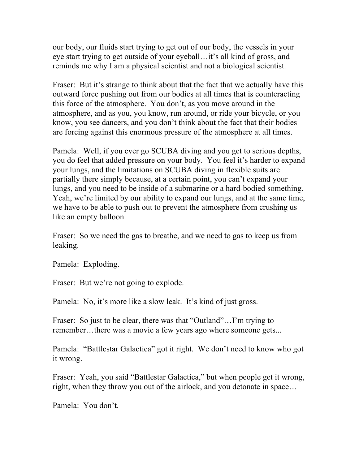our body, our fluids start trying to get out of our body, the vessels in your eye start trying to get outside of your eyeball…it's all kind of gross, and reminds me why I am a physical scientist and not a biological scientist.

Fraser: But it's strange to think about that the fact that we actually have this outward force pushing out from our bodies at all times that is counteracting this force of the atmosphere. You don't, as you move around in the atmosphere, and as you, you know, run around, or ride your bicycle, or you know, you see dancers, and you don't think about the fact that their bodies are forcing against this enormous pressure of the atmosphere at all times.

Pamela: Well, if you ever go SCUBA diving and you get to serious depths, you do feel that added pressure on your body. You feel it's harder to expand your lungs, and the limitations on SCUBA diving in flexible suits are partially there simply because, at a certain point, you can't expand your lungs, and you need to be inside of a submarine or a hard-bodied something. Yeah, we're limited by our ability to expand our lungs, and at the same time, we have to be able to push out to prevent the atmosphere from crushing us like an empty balloon.

Fraser: So we need the gas to breathe, and we need to gas to keep us from leaking.

Pamela: Exploding.

Fraser: But we're not going to explode.

Pamela: No, it's more like a slow leak. It's kind of just gross.

Fraser: So just to be clear, there was that "Outland"...I'm trying to remember…there was a movie a few years ago where someone gets...

Pamela: "Battlestar Galactica" got it right. We don't need to know who got it wrong.

Fraser: Yeah, you said "Battlestar Galactica," but when people get it wrong, right, when they throw you out of the airlock, and you detonate in space…

Pamela: You don't.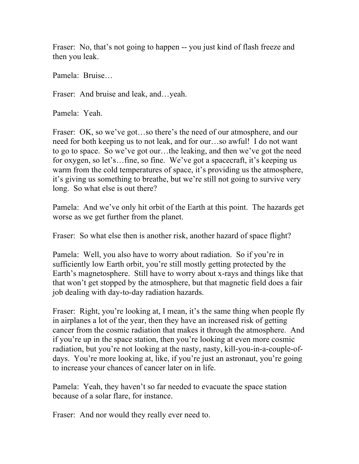Fraser: No, that's not going to happen -- you just kind of flash freeze and then you leak.

Pamela: Bruise…

Fraser: And bruise and leak, and…yeah.

Pamela: Yeah.

Fraser: OK, so we've got...so there's the need of our atmosphere, and our need for both keeping us to not leak, and for our…so awful! I do not want to go to space. So we've got our…the leaking, and then we've got the need for oxygen, so let's…fine, so fine. We've got a spacecraft, it's keeping us warm from the cold temperatures of space, it's providing us the atmosphere, it's giving us something to breathe, but we're still not going to survive very long. So what else is out there?

Pamela: And we've only hit orbit of the Earth at this point. The hazards get worse as we get further from the planet.

Fraser: So what else then is another risk, another hazard of space flight?

Pamela: Well, you also have to worry about radiation. So if you're in sufficiently low Earth orbit, you're still mostly getting protected by the Earth's magnetosphere. Still have to worry about x-rays and things like that that won't get stopped by the atmosphere, but that magnetic field does a fair job dealing with day-to-day radiation hazards.

Fraser: Right, you're looking at, I mean, it's the same thing when people fly in airplanes a lot of the year, then they have an increased risk of getting cancer from the cosmic radiation that makes it through the atmosphere. And if you're up in the space station, then you're looking at even more cosmic radiation, but you're not looking at the nasty, nasty, kill-you-in-a-couple-ofdays. You're more looking at, like, if you're just an astronaut, you're going to increase your chances of cancer later on in life.

Pamela: Yeah, they haven't so far needed to evacuate the space station because of a solar flare, for instance.

Fraser: And nor would they really ever need to.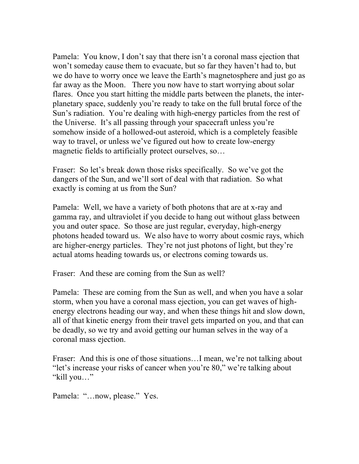Pamela: You know, I don't say that there isn't a coronal mass ejection that won't someday cause them to evacuate, but so far they haven't had to, but we do have to worry once we leave the Earth's magnetosphere and just go as far away as the Moon. There you now have to start worrying about solar flares. Once you start hitting the middle parts between the planets, the interplanetary space, suddenly you're ready to take on the full brutal force of the Sun's radiation. You're dealing with high-energy particles from the rest of the Universe. It's all passing through your spacecraft unless you're somehow inside of a hollowed-out asteroid, which is a completely feasible way to travel, or unless we've figured out how to create low-energy magnetic fields to artificially protect ourselves, so…

Fraser: So let's break down those risks specifically. So we've got the dangers of the Sun, and we'll sort of deal with that radiation. So what exactly is coming at us from the Sun?

Pamela: Well, we have a variety of both photons that are at x-ray and gamma ray, and ultraviolet if you decide to hang out without glass between you and outer space. So those are just regular, everyday, high-energy photons headed toward us. We also have to worry about cosmic rays, which are higher-energy particles. They're not just photons of light, but they're actual atoms heading towards us, or electrons coming towards us.

Fraser: And these are coming from the Sun as well?

Pamela: These are coming from the Sun as well, and when you have a solar storm, when you have a coronal mass ejection, you can get waves of highenergy electrons heading our way, and when these things hit and slow down, all of that kinetic energy from their travel gets imparted on you, and that can be deadly, so we try and avoid getting our human selves in the way of a coronal mass ejection.

Fraser: And this is one of those situations...I mean, we're not talking about "let's increase your risks of cancer when you're 80," we're talking about "kill you…"

Pamela: "...now, please." Yes.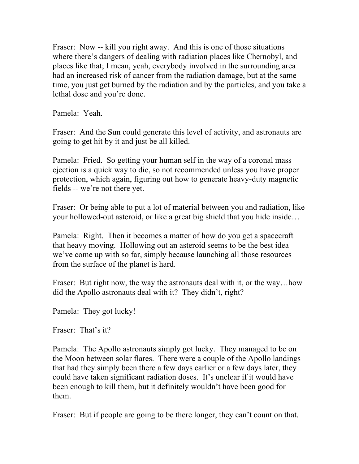Fraser: Now -- kill you right away. And this is one of those situations where there's dangers of dealing with radiation places like Chernobyl, and places like that; I mean, yeah, everybody involved in the surrounding area had an increased risk of cancer from the radiation damage, but at the same time, you just get burned by the radiation and by the particles, and you take a lethal dose and you're done.

Pamela: Yeah.

Fraser: And the Sun could generate this level of activity, and astronauts are going to get hit by it and just be all killed.

Pamela: Fried. So getting your human self in the way of a coronal mass ejection is a quick way to die, so not recommended unless you have proper protection, which again, figuring out how to generate heavy-duty magnetic fields -- we're not there yet.

Fraser: Or being able to put a lot of material between you and radiation, like your hollowed-out asteroid, or like a great big shield that you hide inside…

Pamela: Right. Then it becomes a matter of how do you get a spacecraft that heavy moving. Hollowing out an asteroid seems to be the best idea we've come up with so far, simply because launching all those resources from the surface of the planet is hard.

Fraser: But right now, the way the astronauts deal with it, or the way...how did the Apollo astronauts deal with it? They didn't, right?

Pamela: They got lucky!

Fraser: That's it?

Pamela: The Apollo astronauts simply got lucky. They managed to be on the Moon between solar flares. There were a couple of the Apollo landings that had they simply been there a few days earlier or a few days later, they could have taken significant radiation doses. It's unclear if it would have been enough to kill them, but it definitely wouldn't have been good for them.

Fraser: But if people are going to be there longer, they can't count on that.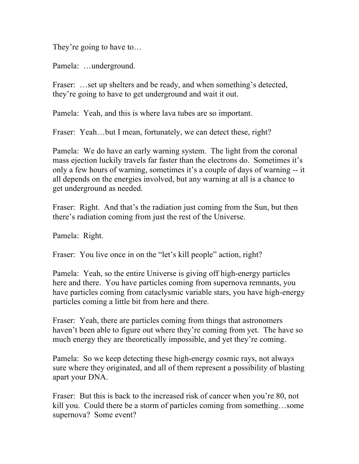They're going to have to…

Pamela: …underground.

Fraser: ...set up shelters and be ready, and when something's detected, they're going to have to get underground and wait it out.

Pamela: Yeah, and this is where lava tubes are so important.

Fraser: Yeah...but I mean, fortunately, we can detect these, right?

Pamela: We do have an early warning system. The light from the coronal mass ejection luckily travels far faster than the electrons do. Sometimes it's only a few hours of warning, sometimes it's a couple of days of warning -- it all depends on the energies involved, but any warning at all is a chance to get underground as needed.

Fraser: Right. And that's the radiation just coming from the Sun, but then there's radiation coming from just the rest of the Universe.

Pamela: Right.

Fraser: You live once in on the "let's kill people" action, right?

Pamela: Yeah, so the entire Universe is giving off high-energy particles here and there. You have particles coming from supernova remnants, you have particles coming from cataclysmic variable stars, you have high-energy particles coming a little bit from here and there.

Fraser: Yeah, there are particles coming from things that astronomers haven't been able to figure out where they're coming from yet. The have so much energy they are theoretically impossible, and yet they're coming.

Pamela: So we keep detecting these high-energy cosmic rays, not always sure where they originated, and all of them represent a possibility of blasting apart your DNA.

Fraser: But this is back to the increased risk of cancer when you're 80, not kill you. Could there be a storm of particles coming from something…some supernova? Some event?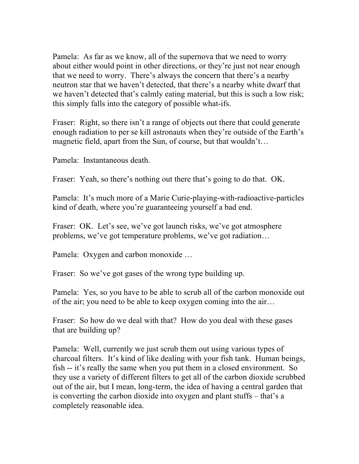Pamela: As far as we know, all of the supernova that we need to worry about either would point in other directions, or they're just not near enough that we need to worry. There's always the concern that there's a nearby neutron star that we haven't detected, that there's a nearby white dwarf that we haven't detected that's calmly eating material, but this is such a low risk; this simply falls into the category of possible what-ifs.

Fraser: Right, so there isn't a range of objects out there that could generate enough radiation to per se kill astronauts when they're outside of the Earth's magnetic field, apart from the Sun, of course, but that wouldn't…

Pamela: Instantaneous death.

Fraser: Yeah, so there's nothing out there that's going to do that. OK.

Pamela: It's much more of a Marie Curie-playing-with-radioactive-particles kind of death, where you're guaranteeing yourself a bad end.

Fraser: OK. Let's see, we've got launch risks, we've got atmosphere problems, we've got temperature problems, we've got radiation…

Pamela: Oxygen and carbon monoxide …

Fraser: So we've got gases of the wrong type building up.

Pamela: Yes, so you have to be able to scrub all of the carbon monoxide out of the air; you need to be able to keep oxygen coming into the air…

Fraser: So how do we deal with that? How do you deal with these gases that are building up?

Pamela: Well, currently we just scrub them out using various types of charcoal filters. It's kind of like dealing with your fish tank. Human beings, fish -- it's really the same when you put them in a closed environment. So they use a variety of different filters to get all of the carbon dioxide scrubbed out of the air, but I mean, long-term, the idea of having a central garden that is converting the carbon dioxide into oxygen and plant stuffs – that's a completely reasonable idea.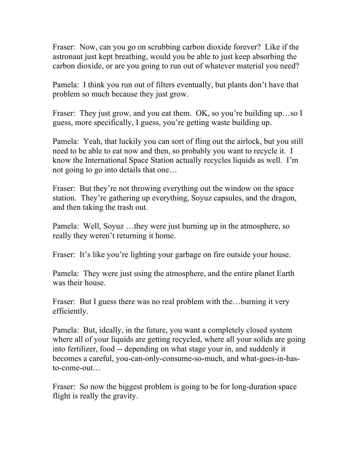Fraser: Now, can you go on scrubbing carbon dioxide forever? Like if the astronaut just kept breathing, would you be able to just keep absorbing the carbon dioxide, or are you going to run out of whatever material you need?

Pamela: I think you run out of filters eventually, but plants don't have that problem so much because they just grow.

Fraser: They just grow, and you eat them. OK, so you're building up...so I guess, more specifically, I guess, you're getting waste building up.

Pamela: Yeah, that luckily you can sort of fling out the airlock, but you still need to be able to eat now and then, so probably you want to recycle it. I know the International Space Station actually recycles liquids as well. I'm not going to go into details that one…

Fraser: But they're not throwing everything out the window on the space station. They're gathering up everything, Soyuz capsules, and the dragon, and then taking the trash out.

Pamela: Well, Soyuz …they were just burning up in the atmosphere, so really they weren't returning it home.

Fraser: It's like you're lighting your garbage on fire outside your house.

Pamela: They were just using the atmosphere, and the entire planet Earth was their house.

Fraser: But I guess there was no real problem with the...burning it very efficiently.

Pamela: But, ideally, in the future, you want a completely closed system where all of your liquids are getting recycled, where all your solids are going into fertilizer, food -- depending on what stage your in, and suddenly it becomes a careful, you-can-only-consume-so-much, and what-goes-in-hasto-come-out…

Fraser: So now the biggest problem is going to be for long-duration space flight is really the gravity.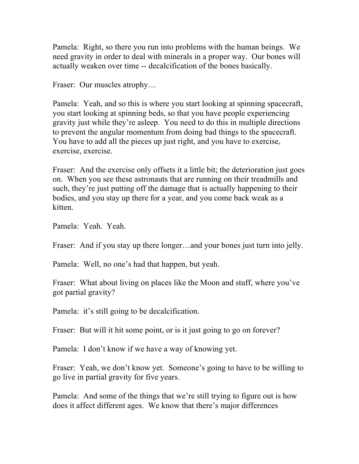Pamela: Right, so there you run into problems with the human beings. We need gravity in order to deal with minerals in a proper way. Our bones will actually weaken over time -- decalcification of the bones basically.

Fraser: Our muscles atrophy…

Pamela: Yeah, and so this is where you start looking at spinning spacecraft, you start looking at spinning beds, so that you have people experiencing gravity just while they're asleep. You need to do this in multiple directions to prevent the angular momentum from doing bad things to the spacecraft. You have to add all the pieces up just right, and you have to exercise, exercise, exercise.

Fraser: And the exercise only offsets it a little bit; the deterioration just goes on. When you see these astronauts that are running on their treadmills and such, they're just putting off the damage that is actually happening to their bodies, and you stay up there for a year, and you come back weak as a kitten.

Pamela: Yeah. Yeah.

Fraser: And if you stay up there longer...and your bones just turn into jelly.

Pamela: Well, no one's had that happen, but yeah.

Fraser: What about living on places like the Moon and stuff, where you've got partial gravity?

Pamela: it's still going to be decalcification.

Fraser: But will it hit some point, or is it just going to go on forever?

Pamela: I don't know if we have a way of knowing yet.

Fraser: Yeah, we don't know yet. Someone's going to have to be willing to go live in partial gravity for five years.

Pamela: And some of the things that we're still trying to figure out is how does it affect different ages. We know that there's major differences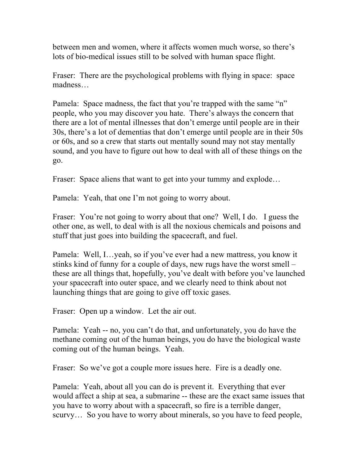between men and women, where it affects women much worse, so there's lots of bio-medical issues still to be solved with human space flight.

Fraser: There are the psychological problems with flying in space: space madness…

Pamela: Space madness, the fact that you're trapped with the same "n" people, who you may discover you hate. There's always the concern that there are a lot of mental illnesses that don't emerge until people are in their 30s, there's a lot of dementias that don't emerge until people are in their 50s or 60s, and so a crew that starts out mentally sound may not stay mentally sound, and you have to figure out how to deal with all of these things on the go.

Fraser: Space aliens that want to get into your tummy and explode...

Pamela: Yeah, that one I'm not going to worry about.

Fraser: You're not going to worry about that one? Well, I do. I guess the other one, as well, to deal with is all the noxious chemicals and poisons and stuff that just goes into building the spacecraft, and fuel.

Pamela: Well, I…yeah, so if you've ever had a new mattress, you know it stinks kind of funny for a couple of days, new rugs have the worst smell – these are all things that, hopefully, you've dealt with before you've launched your spacecraft into outer space, and we clearly need to think about not launching things that are going to give off toxic gases.

Fraser: Open up a window. Let the air out.

Pamela: Yeah -- no, you can't do that, and unfortunately, you do have the methane coming out of the human beings, you do have the biological waste coming out of the human beings. Yeah.

Fraser: So we've got a couple more issues here. Fire is a deadly one.

Pamela: Yeah, about all you can do is prevent it. Everything that ever would affect a ship at sea, a submarine -- these are the exact same issues that you have to worry about with a spacecraft, so fire is a terrible danger, scurvy... So you have to worry about minerals, so you have to feed people,